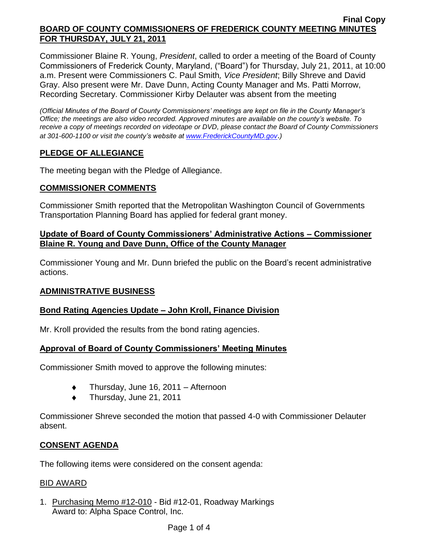Commissioner Blaine R. Young, *President*, called to order a meeting of the Board of County Commissioners of Frederick County, Maryland, ("Board") for Thursday, July 21, 2011, at 10:00 a.m. Present were Commissioners C. Paul Smith*, Vice President*; Billy Shreve and David Gray. Also present were Mr. Dave Dunn, Acting County Manager and Ms. Patti Morrow, Recording Secretary. Commissioner Kirby Delauter was absent from the meeting

*(Official Minutes of the Board of County Commissioners' meetings are kept on file in the County Manager's Office; the meetings are also video recorded. Approved minutes are available on the county's website. To receive a copy of meetings recorded on videotape or DVD, please contact the Board of County Commissioners at 301-600-1100 or visit the county's website at [www.FrederickCountyMD.gov](http://www.frederickcountymd.gov/)*.*)*

# **PLEDGE OF ALLEGIANCE**

The meeting began with the Pledge of Allegiance.

### **COMMISSIONER COMMENTS**

Commissioner Smith reported that the Metropolitan Washington Council of Governments Transportation Planning Board has applied for federal grant money.

## **Update of Board of County Commissioners' Administrative Actions – Commissioner Blaine R. Young and Dave Dunn, Office of the County Manager**

Commissioner Young and Mr. Dunn briefed the public on the Board's recent administrative actions.

## **ADMINISTRATIVE BUSINESS**

## **Bond Rating Agencies Update – John Kroll, Finance Division**

Mr. Kroll provided the results from the bond rating agencies.

## **Approval of Board of County Commissioners' Meeting Minutes**

Commissioner Smith moved to approve the following minutes:

- Thursday, June 16, 2011 Afternoon  $\ddot{\bullet}$
- Thursday, June 21, 2011  $\ddot{\bullet}$

Commissioner Shreve seconded the motion that passed 4-0 with Commissioner Delauter absent.

## **CONSENT AGENDA**

The following items were considered on the consent agenda:

#### BID AWARD

1. Purchasing Memo #12-010 - Bid #12-01, Roadway Markings Award to: Alpha Space Control, Inc.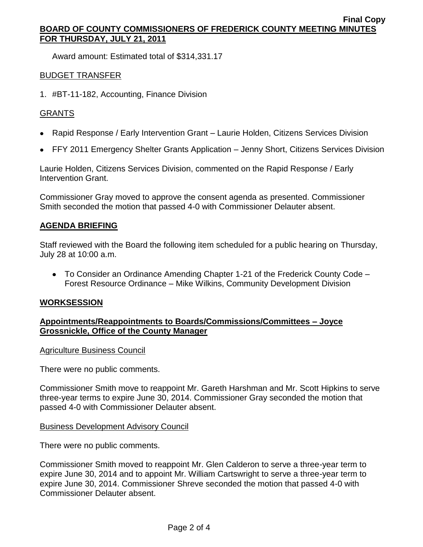Award amount: Estimated total of \$314,331.17

## BUDGET TRANSFER

1. #BT-11-182, Accounting, Finance Division

# GRANTS

- Rapid Response / Early Intervention Grant Laurie Holden, Citizens Services Division
- FFY 2011 Emergency Shelter Grants Application Jenny Short, Citizens Services Division

Laurie Holden, Citizens Services Division, commented on the Rapid Response / Early Intervention Grant.

Commissioner Gray moved to approve the consent agenda as presented. Commissioner Smith seconded the motion that passed 4-0 with Commissioner Delauter absent.

## **AGENDA BRIEFING**

Staff reviewed with the Board the following item scheduled for a public hearing on Thursday, July 28 at 10:00 a.m.

To Consider an Ordinance Amending Chapter 1-21 of the Frederick County Code – Forest Resource Ordinance – Mike Wilkins, Community Development Division

#### **WORKSESSION**

# **Appointments/Reappointments to Boards/Commissions/Committees – Joyce Grossnickle, Office of the County Manager**

#### Agriculture Business Council

There were no public comments.

Commissioner Smith move to reappoint Mr. Gareth Harshman and Mr. Scott Hipkins to serve three-year terms to expire June 30, 2014. Commissioner Gray seconded the motion that passed 4-0 with Commissioner Delauter absent.

## Business Development Advisory Council

There were no public comments.

Commissioner Smith moved to reappoint Mr. Glen Calderon to serve a three-year term to expire June 30, 2014 and to appoint Mr. William Cartswright to serve a three-year term to expire June 30, 2014. Commissioner Shreve seconded the motion that passed 4-0 with Commissioner Delauter absent.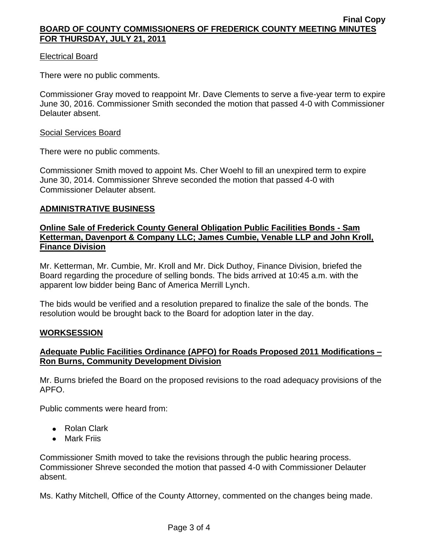### Electrical Board

There were no public comments.

Commissioner Gray moved to reappoint Mr. Dave Clements to serve a five-year term to expire June 30, 2016. Commissioner Smith seconded the motion that passed 4-0 with Commissioner Delauter absent.

#### Social Services Board

There were no public comments.

Commissioner Smith moved to appoint Ms. Cher Woehl to fill an unexpired term to expire June 30, 2014. Commissioner Shreve seconded the motion that passed 4-0 with Commissioner Delauter absent.

### **ADMINISTRATIVE BUSINESS**

### **Online Sale of Frederick County General Obligation Public Facilities Bonds - Sam Ketterman, Davenport & Company LLC; James Cumbie, Venable LLP and John Kroll, Finance Division**

Mr. Ketterman, Mr. Cumbie, Mr. Kroll and Mr. Dick Duthoy, Finance Division, briefed the Board regarding the procedure of selling bonds. The bids arrived at 10:45 a.m. with the apparent low bidder being Banc of America Merrill Lynch.

The bids would be verified and a resolution prepared to finalize the sale of the bonds. The resolution would be brought back to the Board for adoption later in the day.

#### **WORKSESSION**

# **Adequate Public Facilities Ordinance (APFO) for Roads Proposed 2011 Modifications – Ron Burns, Community Development Division**

Mr. Burns briefed the Board on the proposed revisions to the road adequacy provisions of the APFO.

Public comments were heard from:

- Rolan Clark
- Mark Friis

Commissioner Smith moved to take the revisions through the public hearing process. Commissioner Shreve seconded the motion that passed 4-0 with Commissioner Delauter absent.

Ms. Kathy Mitchell, Office of the County Attorney, commented on the changes being made.